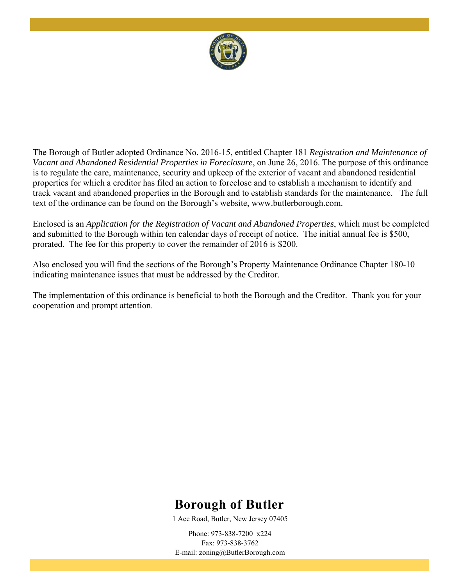

The Borough of Butler adopted Ordinance No. 2016-15, entitled Chapter 181 *Registration and Maintenance of Vacant and Abandoned Residential Properties in Foreclosure*, on June 26, 2016. The purpose of this ordinance is to regulate the care, maintenance, security and upkeep of the exterior of vacant and abandoned residential properties for which a creditor has filed an action to foreclose and to establish a mechanism to identify and track vacant and abandoned properties in the Borough and to establish standards for the maintenance. The full text of the ordinance can be found on the Borough's website, www.butlerborough.com.

Enclosed is an *Application for the Registration of Vacant and Abandoned Properties*, which must be completed and submitted to the Borough within ten calendar days of receipt of notice. The initial annual fee is \$500, prorated. The fee for this property to cover the remainder of 2016 is \$200.

Also enclosed you will find the sections of the Borough's Property Maintenance Ordinance Chapter 180-10 indicating maintenance issues that must be addressed by the Creditor.

The implementation of this ordinance is beneficial to both the Borough and the Creditor. Thank you for your cooperation and prompt attention.

# **Borough of Butler**

1 Ace Road, Butler, New Jersey 07405

Phone: 973-838-7200 x224 Fax: 973-838-3762 E-mail: zoning@ButlerBorough.com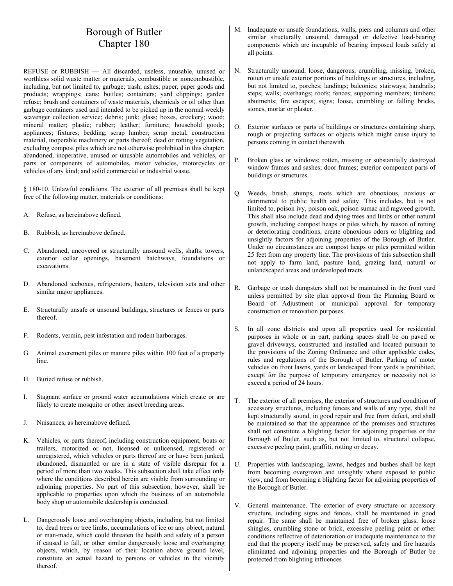# Borough of Butler Chapter 180

REFUSE or RUBBISH — All discarded, useless, unusable, unused or worthless solid waste matter or materials, combustible or noncombustible, including, but not limited to, garbage; trash; ashes; paper, paper goods and products; wrappings; cans; bottles; containers; yard clippings; garden refuse; brush and containers of waste materials, chemicals or oil other than garbage containers used and intended to be picked up in the normal weekly scavenger collection service; debris; junk; glass; boxes, crockery; wood; mineral matter; plastic; rubber; leather; furniture; household goods; appliances; fixtures; bedding; scrap lumber; scrap metal, construction material, inoperable machinery or parts thereof; dead or rotting vegetation, excluding compost piles which are not otherwise prohibited in this chapter; abandoned, inoperative, unused or unusable automobiles and vehicles, or parts or components of automobiles, motor vehicles, motorcycles or vehicles of any kind; and solid commercial or industrial waste.

§ 180-10. Unlawful conditions. The exterior of all premises shall be kept free of the following matter, materials or conditions:

- A. Refuse, as hereinabove defined.
- B. Rubbish, as hereinabove defined.
- C. Abandoned, uncovered or structurally unsound wells, shafts, towers, exterior cellar openings, basement hatchways, foundations or excavations.
- D. Abandoned iceboxes, refrigerators, heaters, television sets and other similar major appliances.
- E. Structurally unsafe or unsound buildings, structures or fences or parts thereof.
- F. Rodents, vermin, pest infestation and rodent harborages.
- G. Animal excrement piles or manure piles within 100 feet of a property line.
- H. Buried refuse or rubbish.
- I. Stagnant surface or ground water accumulations which create or are likely to create mosquito or other insect breeding areas.
- J. Nuisances, as hereinabove defined.
- K. Vehicles, or parts thereof, including construction equipment, boats or trailers, motorized or not, licensed or unlicensed, registered or unregistered, which vehicles or parts thereof are or have been junked, abandoned, dismantled or are in a state of visible disrepair for a period of more than two weeks. This subsection shall take effect only where the conditions described herein are visible from surrounding or adjoining properties. No part of this subsection, however, shall be applicable to properties upon which the business of an automobile body shop or automobile dealership is conducted.
- L. Dangerously loose and overhanging objects, including, but not limited to, dead trees or tree limbs, accumulations of ice or any object, natural or man-made, which could threaten the health and safety of a person if caused to fall, or other similar dangerously loose and overhanging objects, which, by reason of their location above ground level, constitute an actual hazard to persons or vehicles in the vicinity thereof.
- M. Inadequate or unsafe foundations, walls, piers and columns and other similar structurally unsound, damaged or defective load-bearing components which are incapable of bearing imposed loads safely at all points.
- N. Structurally unsound, loose, dangerous, crumbling, missing, broken, rotten or unsafe exterior portions of buildings or structures, including, but not limited to, porches; landings; balconies; stairways; handrails; steps; walls; overhangs; roofs; fences; supporting members; timbers; abutments; fire escapes; signs; loose, crumbling or falling bricks, stones, mortar or plaster.
- O. Exterior surfaces or parts of buildings or structures containing sharp, rough or projecting surfaces or objects which might cause injury to persons coming in contact therewith.
- P. Broken glass or windows; rotten, missing or substantially destroyed window frames and sashes; door frames; exterior component parts of buildings or structures.
- Q. Weeds, brush, stumps, roots which are obnoxious, noxious or detrimental to public health and safety. This includes, but is not limited to, poison ivy, poison oak, poison sumac and ragweed growth. This shall also include dead and dying trees and limbs or other natural growth, including compost heaps or piles which, by reason of rotting or deteriorating conditions, create obnoxious odors or blighting and unsightly factors for adjoining properties of the Borough of Butler. Under no circumstances are compost heaps or piles permitted within 25 feet from any property line. The provisions of this subsection shall not apply to farm land, pasture land, grazing land, natural or unlandscaped areas and undeveloped tracts.
- R. Garbage or trash dumpsters shall not be maintained in the front yard unless permitted by site plan approval from the Planning Board or Board of Adjustment or municipal approval for temporary construction or renovation purposes.
- S. In all zone districts and upon all properties used for residential purposes in whole or in part, parking spaces shall be on paved or gravel driveways, constructed and installed and located pursuant to the provisions of the Zoning Ordinance and other applicable codes, rules and regulations of the Borough of Butler. Parking of motor vehicles on front lawns, yards or landscaped front yards is prohibited, except for the purpose of temporary emergency or necessity not to exceed a period of 24 hours.
- T. The exterior of all premises, the exterior of structures and condition of accessory structures, including fences and walls of any type, shall be kept structurally sound, in good repair and free from defect, and shall be maintained so that the appearance of the premises and structures shall not constitute a blighting factor for adjoining properties or the Borough of Butler, such as, but not limited to, structural collapse, excessive peeling paint, graffiti, rotting or decay.
- U. Properties with landscaping, lawns, hedges and bushes shall be kept from becoming overgrown and unsightly where exposed to public view, and from becoming a blighting factor for adjoining properties of the Borough of Butler.
- V. General maintenance. The exterior of every structure or accessory structure, including signs and fences, shall be maintained in good repair. The same shall be maintained free of broken glass, loose shingles, crumbling stone or brick, excessive peeling paint or other conditions reflective of deterioration or inadequate maintenance to the end that the property itself may be preserved, safety and fire hazards eliminated and adjoining properties and the Borough of Butler be protected from blighting influences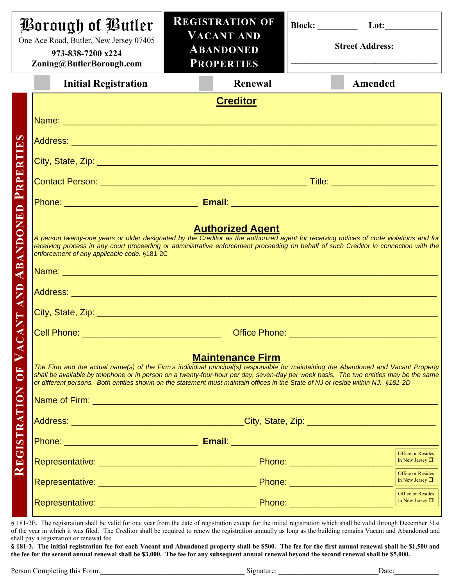| Borough of Butler<br>One Ace Road, Butler, New Jersey 07405<br>973-838-7200 x224<br>Zoning@ButlerBorough.com |                                                                                                                                                                                                                                                                                                                                                                                                                                                                                                                                                                                                              | <b>REGISTRATION OF</b><br><b>VACANT AND</b><br><b>ABANDONED</b><br><b>PROPERTIES</b> |         | Lot:<br><b>Street Address:</b> |                                                                                                      |
|--------------------------------------------------------------------------------------------------------------|--------------------------------------------------------------------------------------------------------------------------------------------------------------------------------------------------------------------------------------------------------------------------------------------------------------------------------------------------------------------------------------------------------------------------------------------------------------------------------------------------------------------------------------------------------------------------------------------------------------|--------------------------------------------------------------------------------------|---------|--------------------------------|------------------------------------------------------------------------------------------------------|
|                                                                                                              | <b>Initial Registration</b>                                                                                                                                                                                                                                                                                                                                                                                                                                                                                                                                                                                  |                                                                                      | Renewal |                                | Amended                                                                                              |
| RTHES<br>$\mathbf{E}$<br>PRPI<br><b>ANDONED</b><br>AB.<br><b>AND</b>                                         | <b>Creditor</b><br>Name: Name: Name: Name: Name: Name: Name: Name: Name: Name: Name: Name: Name: Name: Name: Name: Name: Name: Name: Name: Name: Name: Name: Name: Name: Name: Name: Name: Name: Name: Name: Name: Name: Name: Name: Name: Name:<br><b>Authorized Agent</b><br>A person twenty-one years or older designated by the Creditor as the authorized agent for receiving notices of code violations and for<br>receiving process in any court proceeding or administrative enforcement proceeding on behalf of such Creditor in connection with the<br>enforcement of any applicable code. §181-2C |                                                                                      |         |                                |                                                                                                      |
| <b>ANT</b><br>AC<br><b>FO</b>                                                                                | <b>Contract Contract Contract Contract Contract Contract Contract Contract Contract Contract Contract Contract Co</b><br><b>Maintenance Firm</b><br>The Firm and the actual name(s) of the Firm's individual principal(s) responsible for maintaining the Abandoned and Vacant Property<br>shall be available by telephone or in person on a twenty-four-hour per day, seven-day per week basis. The two entities may be the same<br>or different persons. Both entities shown on the statement must maintain offices in the State of NJ or reside within NJ. §181-2D                                        |                                                                                      |         |                                |                                                                                                      |
| REGISTRATION                                                                                                 |                                                                                                                                                                                                                                                                                                                                                                                                                                                                                                                                                                                                              |                                                                                      |         |                                |                                                                                                      |
|                                                                                                              |                                                                                                                                                                                                                                                                                                                                                                                                                                                                                                                                                                                                              |                                                                                      |         |                                | <b>Office or Resides</b><br>in New Jersey $\Box$<br><b>Office or Resides</b><br>in New Jersey $\Box$ |
|                                                                                                              |                                                                                                                                                                                                                                                                                                                                                                                                                                                                                                                                                                                                              |                                                                                      |         |                                | <b>Office or Resides</b><br>in New Jersey $\Box$                                                     |

§ 181-2E. The registration shall be valid for one year from the date of registration except for the initial registration which shall be valid through December 31st of the year in which it was filed. The Creditor shall be required to renew the registration annually as long as the building remains Vacant and Abandoned and shall pay a registration or renewal fee.

**§ 181-3. The initial registration fee for each Vacant and Abandoned property shall be \$500. The fee for the first annual renewal shall be \$1,500 and the fee for the second annual renewal shall be \$3,000. The fee for any subsequent annual renewal beyond the second renewal shall be \$5,000.**